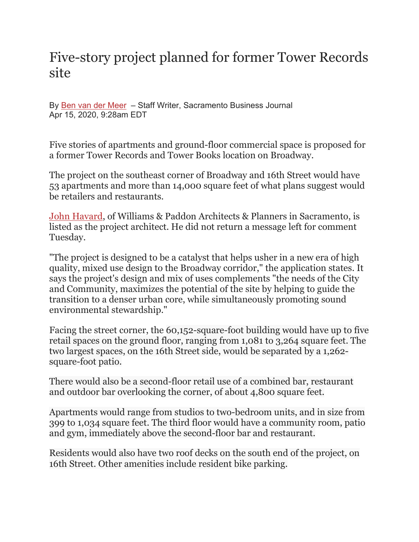## Five-story project planned for former Tower Records site

By Ben van der [Meer](https://www.bizjournals.com/sacramento/bio/15911/Ben+van+der+Meer) – Staff Writer, Sacramento Business Journal Apr 15, 2020, 9:28am EDT

Five stories of apartments and ground-floor commercial space is proposed for a former Tower Records and Tower Books location on Broadway.

The project on the southeast corner of Broadway and 16th Street would have 53 apartments and more than 14,000 square feet of what plans suggest would be retailers and restaurants.

[John Havard,](https://www.bizjournals.com/sacramento/search/results?q=John%20Havard) of Williams & Paddon Architects & Planners in Sacramento, is listed as the project architect. He did not return a message left for comment Tuesday.

"The project is designed to be a catalyst that helps usher in a new era of high quality, mixed use design to the Broadway corridor," the application states. It says the project's design and mix of uses complements "the needs of the City and Community, maximizes the potential of the site by helping to guide the transition to a denser urban core, while simultaneously promoting sound environmental stewardship."

Facing the street corner, the 60,152-square-foot building would have up to five retail spaces on the ground floor, ranging from 1,081 to 3,264 square feet. The two largest spaces, on the 16th Street side, would be separated by a 1,262 square-foot patio.

There would also be a second-floor retail use of a combined bar, restaurant and outdoor bar overlooking the corner, of about 4,800 square feet.

Apartments would range from studios to two-bedroom units, and in size from 399 to 1,034 square feet. The third floor would have a community room, patio and gym, immediately above the second-floor bar and restaurant.

Residents would also have two roof decks on the south end of the project, on 16th Street. Other amenities include resident bike parking.